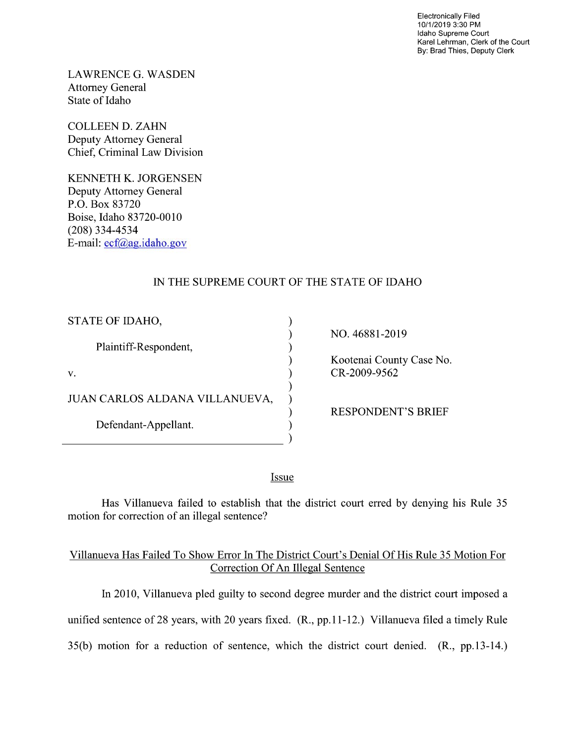Electronically Filed 10/1/2019 3:30 PM Idaho Supreme Court Karel Lehrman, Clerk of the Court By: Brad Thies, Deputy Clerk

LAWRENCE G. WASDEN Attorney General State of Idaho

COLLEEN D. ZAHN Deputy Attorney General Chief, Criminal Law Division

KENNETH K. JORGENSEN Deputy Attorney General P.O. Box 83720 Boise, Idaho 83720-0010 (208) 334—4534 E—mail: ecf@ag.idah0.g0v

## IN THE SUPREME COURT OF THE STATE OF IDAHO

| STATE OF IDAHO,                |                   |
|--------------------------------|-------------------|
|                                | NO. 46881-2019    |
| Plaintiff-Respondent,          |                   |
|                                | Kootenai County C |
| V.                             | CR-2009-9562      |
|                                |                   |
| JUAN CARLOS ALDANA VILLANUEVA, |                   |
|                                | RESPONDENT'S      |
| Defendant-Appellant.           |                   |
|                                |                   |

mai County Case No.

ONDENT'S BRIEF

**Issue** 

Has Villanueva failed to establish that the district court erred by denying his Rule 35 motion for correction of an illegal sentence?

## Villanueva Has Failed T0 Show Error In The District Court's Denial Of His Rule 35 Motion For Correction Of An Illegal Sentence

In 2010, Villanueva pled guilty to second degree murder and the district court imposed a unified sentence of 28 years, with 20 years fixed.  $(R., pp.11-12.)$  Villanueva filed a timely Rule 35(b) motion for a reduction of sentence, which the district court denied. (R., pp.13-14.)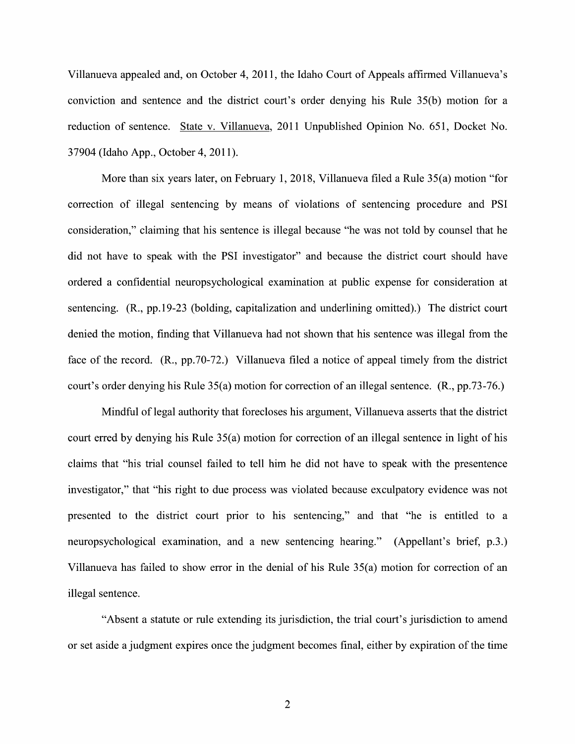Villanueva appealed and, 0n October 4, 201 1, the Idaho Court of Appeals affirmed Villanueva's conviction and sentence and the district court's order denying his Rule 35(b) motion for reduction 0f sentence. State V. Villanueva, 2011 Unpublished Opinion N0. 651, Docket No. 37904 (Idaho App., October 4, 201 1).

More than six years later, on February 1, 2018, Villanueva filed a Rule  $35(a)$  motion "for correction of illegal sentencing by means of violations of sentencing procedure and PSI consideration," claiming that his sentence is illegal because "he was not told by counsel that he did not have to speak with the PSI investigator" and because the district court should have ordered confidential neuropsychological examination at public expense for consideration at sentencing. (R., pp.19-23 (holding, capitalization and underlining omitted).) The district court denied the motion, finding that Villanueva had not shown that his sentence was illegal from the face of the record. (R., pp.70-72.) Villanueva filed a notice of appeal timely from the district court's order denying his Rule 35(a) motion for correction of an illegal sentence. (R., pp.73-76.)

Mindful of legal authority that forecloses his argument, Villanueva asserts that the district court erred by denying his Rule 35(a) motion for correction of an illegal sentence in light of his claims that "his trial counsel failed to tell him he did not have to speak with the presentence investigator," that "his right to due process was violated because exculpatory evidence was not presented to the district court prior to his sentencing," and that "he is entitled to a neuropsychological examination, and a new sentencing hearing." (Appellant's brief, p.3.) Villanueva has failed to show error in the denial of his Rule  $35(a)$  motion for correction of an illegal sentence.

"Absent a statute or rule extending its jurisdiction, the trial court's jurisdiction to amend or set aside a judgment expires once the judgment becomes final, either by expiration of the time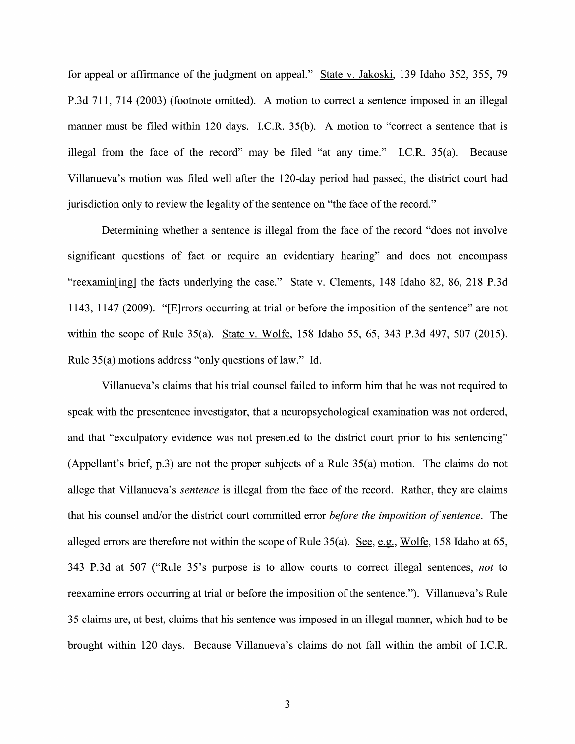for appeal or affirmance of the judgment on appeal." State v. Jakoski, 139 Idaho 352, 355, 79 P.3d 711, 714 (2003) (footnote omitted). A motion to correct a sentence imposed in an illegal manner must be filed within 120 days. I.C.R. 35(b). A motion to "correct a sentence that is illegal from the face of the record" may be filed "at any time." I.C.R. 35(a). Because Villanueva's motion was filed well after the 120-day period had passed, the district court had jurisdiction only to review the legality of the sentence 0n "the face 0f the record."

Determining whether a sentence is illegal from the face of the record "does not involve" significant questions of fact or require an evidentiary hearing" and does not encompass "reexamin[ing] the facts underlying the case." State v. Clements, 148 Idaho 82, 86, 218 P.3d 1143, 1147 (2009). "[E]rrors occurring at trial or before the imposition of the sentence" are not within the scope of Rule 35(a). State v. Wolfe, 158 Idaho 55, 65, 343 P.3d 497, 507 (2015). Rule 35(a) motions address "only questions of law." Id.

Villanueva's claims that his trial counsel failed to inform him that he was not required to speak with the presentence investigator, that a neuropsychological examination was not ordered, and that "exculpatory evidence was not presented to the district court prior to his sentencing" (Appellant's brief, p.3) are not the proper subjects of a Rule  $35(a)$  motion. The claims do not allege that Villanueva's sentence is illegal from the face of the record. Rather, they are claims that his counsel and/or the district court committed error before the imposition of sentence. The alleged errors are therefore not within the scope of Rule  $35(a)$ . See, e.g., Wolfe, 158 Idaho at 65, 343 P.3d at 507 ("Rule 35's purpose is to allow courts to correct illegal sentences, not to reexamine errors occurring at trial or before the imposition 0f the sentence."). Villanueva's Rule 35 claims are, at best, claims that his sentence was imposed in an illegal manner, which had to be brought Within <sup>120</sup> days. Because Villanueva's claims do not fall within the ambit of I.C.R.